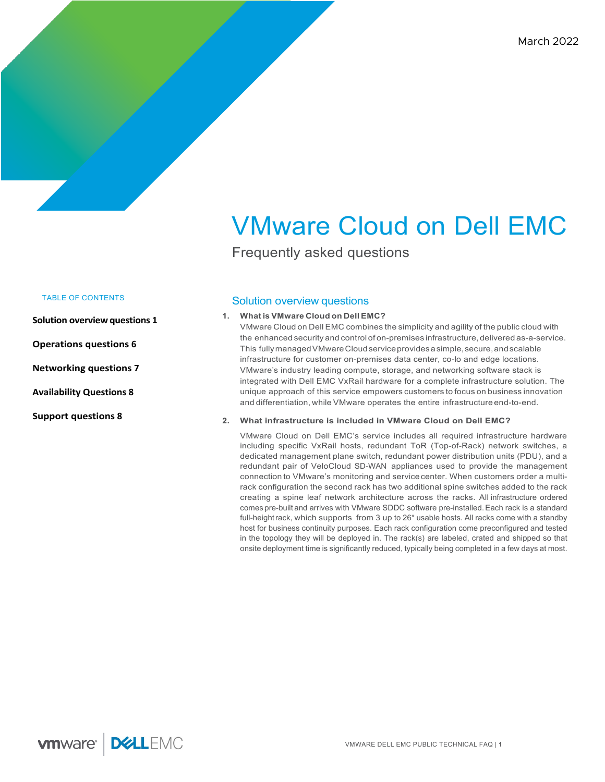# VMware Cloud on Dell EMC

Frequently asked questions

# TABLE OF CONTENTS

**Solution overview questions 1** 

**Operations questions 6**

**Networking questions 7**

**Availability Questions 8**

**Support questions 8**

# Solution overview questions

# **1. What is VMware Cloud on Dell EMC?**

VMware Cloud on Dell EMC combines the simplicity and agility of the public cloud with the enhanced security and control of on-premises infrastructure, delivered as-a-service. This fully managed VMware Cloud service provides a simple, secure, and scalable infrastructure for customer on-premises data center, co-lo and edge locations. VMware's industry leading compute, storage, and networking software stack is integrated with Dell EMC VxRail hardware for a complete infrastructure solution. The unique approach of this service empowers customers to focus on business innovation and differentiation, while VMware operates the entire infrastructure end-to-end.

# **2. What infrastructure is included in VMware Cloud on Dell EMC?**

VMware Cloud on Dell EMC's service includes all required infrastructure hardware including specific VxRail hosts, redundant ToR (Top-of-Rack) network switches, a dedicated management plane switch, redundant power distribution units (PDU), and a redundant pair of VeloCloud SD-WAN appliances used to provide the management connection to VMware's monitoring and servicecenter. When customers order a multirack configuration the second rack has two additional spine switches added to the rack creating a spine leaf network architecture across the racks. All infrastructure ordered comes pre-built and arrives with VMware SDDC software pre-installed.Each rack is a standard full-heightrack, which supports from 3 up to 26\* usable hosts. All racks come with a standby host for business continuity purposes. Each rack configuration come preconfigured and tested in the topology they will be deployed in. The rack(s) are labeled, crated and shipped so that onsite deployment time is significantly reduced, typically being completed in a few days at most.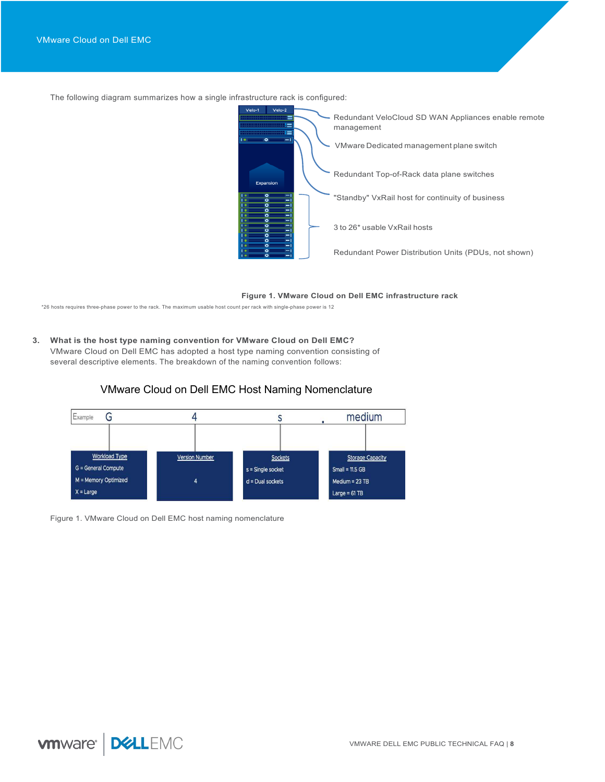The following diagram summarizes how a single infrastructure rack is configured:



#### **Figure 1. VMware Cloud on Dell EMC infrastructure rack**

\*26 hosts requires three-phase power to the rack. The maximum usable host count per rack with single-phase power is 12

# **3. What is the host type naming convention for VMware Cloud on Dell EMC?** VMware Cloud on Dell EMC has adopted a host type naming convention consisting of several descriptive elements. The breakdown of the naming convention follows:



# VMware Cloud on Dell EMC Host Naming Nomenclature

Figure 1. VMware Cloud on Dell EMC host naming nomenclature

**vmware DELLEMC**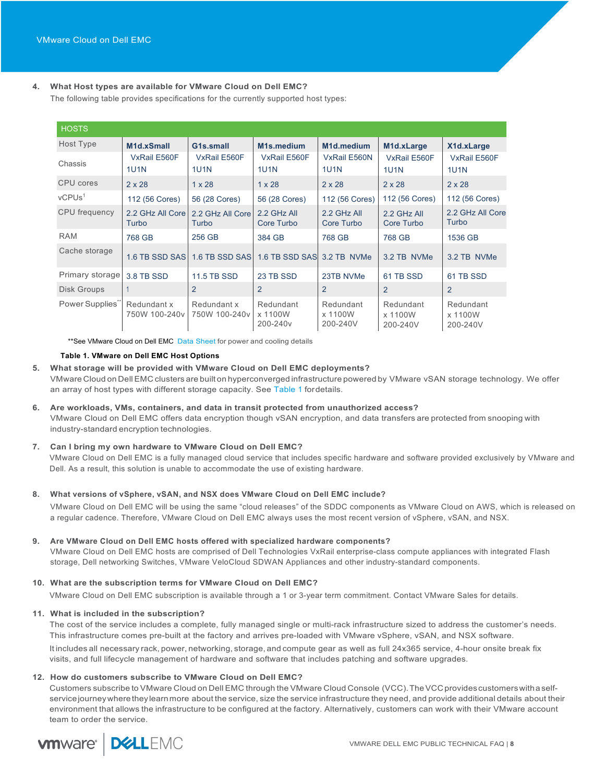# **4. What Host types are available for VMware Cloud on Dell EMC?**

The following table provides specifications for the currently supported host types:

| <b>HOSTS</b>                |                              |                              |                                              |                                  |                                  |                                  |
|-----------------------------|------------------------------|------------------------------|----------------------------------------------|----------------------------------|----------------------------------|----------------------------------|
| Host Type                   | M1d.xSmall                   | G1s.small                    | M <sub>1s</sub> .medium                      | M1d.medium                       | M <sub>1</sub> d.xLarge          | X1d.xLarge                       |
| Chassis                     | VxRail E560F<br><b>1U1N</b>  | VxRail E560F<br><b>1U1N</b>  | VxRail E560F<br><b>1U1N</b>                  | VxRail E560N<br><b>1U1N</b>      | VxRail E560F<br><b>1U1N</b>      | VxRail E560F<br><b>1U1N</b>      |
| CPU cores                   | $2 \times 28$                | $1 \times 28$                | $1 \times 28$                                | $2 \times 28$                    | $2 \times 28$                    | $2 \times 28$                    |
| VCPUs <sup>1</sup>          | 112 (56 Cores)               | 56 (28 Cores)                | 56 (28 Cores)                                | 112 (56 Cores)                   | 112 (56 Cores)                   | 112 (56 Cores)                   |
| <b>CPU</b> frequency        | 2.2 GHz All Core<br>Turbo    | 2.2 GHz All Core<br>Turbo    | 2.2 GHz All<br>Core Turbo                    | 2.2 GHz All<br>Core Turbo        | 2.2 GHz All<br>Core Turbo        | 2.2 GHz All Core<br>Turbo        |
| <b>RAM</b>                  | 768 GB                       | 256 GB                       | 384 GB                                       | 768 GB                           | 768 GB                           | 1536 GB                          |
| Cache storage               | 1.6 TB SSD SAS               | 1.6 TB SSD SAS               | 1.6 TB SSD SAS 3.2 TB NVMe                   |                                  | 3.2 TB NVMe                      | 3.2 TB NVMe                      |
| Primary storage             | 3.8 TB SSD                   | <b>11.5 TB SSD</b>           | 23 TB SSD                                    | 23TB NVMe                        | 61 TB SSD                        | 61 TB SSD                        |
| Disk Groups                 |                              | $\overline{2}$               | 2                                            | 2                                | $\overline{2}$                   | 2                                |
| Power Supplies <sup>"</sup> | Redundant x<br>750W 100-240v | Redundant x<br>750W 100-240v | Redundant<br>x 1100W<br>200-240 <sub>v</sub> | Redundant<br>x 1100W<br>200-240V | Redundant<br>x 1100W<br>200-240V | Redundant<br>x 1100W<br>200-240V |

\*\*See VMware Cloud on Dell EMC Data Sheet for power and cooling details

### **Table 1. VMware on Dell EMC Host Options**

# **5. What storage will be provided with VMware Cloud on Dell EMC deployments?**

VMware Cloud on DellEMC clusters are built on hyperconverged infrastructure powered by VMware vSAN storage technology. We offer an array of host types with different storage capacity. See Table 1 fordetails.

# **6. Are workloads, VMs, containers, and data in transit protected from unauthorized access?**

VMware Cloud on Dell EMC offers data encryption though vSAN encryption, and data transfers are protected from snooping with industry-standard encryption technologies.

# **7. Can I bring my own hardware to VMware Cloud on Dell EMC?**

VMware Cloud on Dell EMC is a fully managed cloud service that includes specific hardware and software provided exclusively by VMware and Dell. As a result, this solution is unable to accommodate the use of existing hardware.

# **8. What versions of vSphere, vSAN, and NSX does VMware Cloud on Dell EMC include?**

VMware Cloud on Dell EMC will be using the same "cloud releases" of the SDDC components as VMware Cloud on AWS, which is released on a regular cadence. Therefore, VMware Cloud on Dell EMC always uses the most recent version of vSphere, vSAN, and NSX.

# **9. Are VMware Cloud on Dell EMC hosts offered with specialized hardware components?**

VMware Cloud on Dell EMC hosts are comprised of Dell Technologies VxRail enterprise-class compute appliances with integrated Flash storage, Dell networking Switches, VMware VeloCloud SDWAN Appliances and other industry-standard components.

# **10. What are the subscription terms for VMware Cloud on Dell EMC?**

VMware Cloud on Dell EMC subscription is available through a 1 or 3-year term commitment. Contact VMware Sales for details.

# **11. What is included in the subscription?**

The cost of the service includes a complete, fully managed single or multi-rack infrastructure sized to address the customer's needs. This infrastructure comes pre-built at the factory and arrives pre-loaded with VMware vSphere, vSAN, and NSX software. It includes all necessary rack, power, networking, storage, and compute gear as well as full 24x365 service, 4-hour onsite break fix visits, and full lifecycle management of hardware and software that includes patching and software upgrades.

# **12. How do customers subscribe to VMware Cloud on Dell EMC?**

Customers subscribe to VMware Cloud on Dell EMC through the VMware Cloud Console (VCC).TheVCCprovides customerswithaselfservice journey where they learn more about the service, size the service infrastructure they need, and provide additional details about their environment that allows the infrastructure to be configured at the factory. Alternatively, customers can work with their VMware account team to order the service.

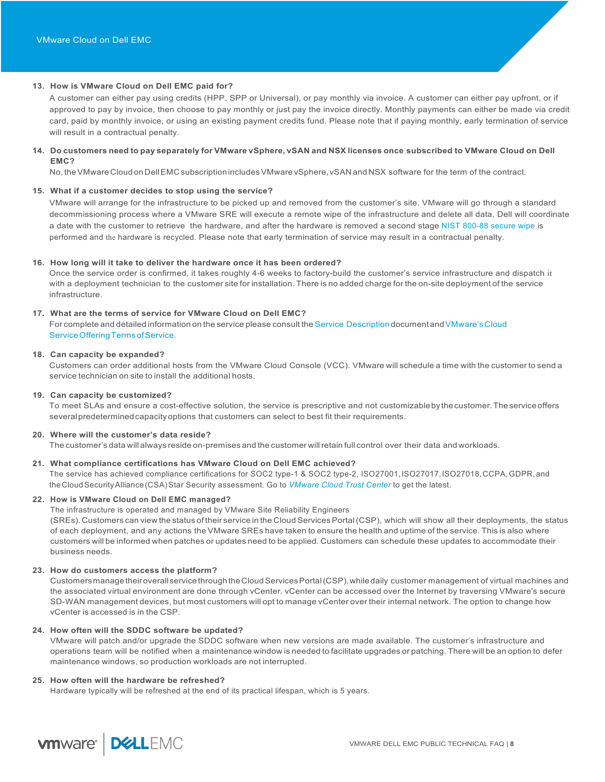# **13. How is VMware Cloud on Dell EMC paid for?**

A customer can either pay using credits (HPP, SPP or Universal), or pay monthly via invoice. A customer can either pay upfront, or if approved to pay by invoice, then choose to pay monthly or just pay the invoice directly. Monthly payments can either be made via credit card, paid by monthly invoice, or using an existing payment credits fund. Please note that if paying monthly, early termination of service will result in a contractual penalty.

# 14. Do customers need to pay separately for VMware vSphere, vSAN and NSX licenses once subscribed to VMware Cloud on Dell **EMC?**

No, the VMware Cloud on Dell EMC subscription includes VMware vSphere, vSAN and NSX software for the term of the contract.

### **15. What if a customer decides to stop using the service?**

VMware will arrange for the infrastructure to be picked up and removed from the customer's site. VMware will go through a standard decommissioning process where a VMware SRE will execute a remote wipe of the infrastructure and delete all data. Dell will coordinate a date with the customer to retrieve the hardware, and after the hardware is removed a second stage NIST 800-88 secure wipe is performed and the hardware is recycled. Please note that early termination of service may result in a contractual penalty.

### **16. How long will it take to deliver the hardware once it has been ordered?**

Once the service order is confirmed, it takes roughly 4-6 weeks to factory-build the customer's service infrastructure and dispatch it with a deployment technician to the customer site for installation. There is no added charge for the on-site deployment of the service infrastructure.

# **17. What are the terms of service for VMware Cloud on Dell EMC?**

For complete and detailed information on the service please consult the Service Description document and VMware's Cloud Service Offering Terms of Service.

### **18. Can capacity be expanded?**

Customers can order additional hosts from the VMware Cloud Console (VCC). VMware will schedule a time with the customer to send a service technician on site to install the additional hosts.

### **19. Can capacity be customized?**

To meet SLAs and ensure a cost-effective solution, the service is prescriptive and not customizableby thecustomer.Theserviceoffers severalpredeterminedcapacityoptions that customers can select to best fit their requirements.

### **20. Where will the customer's data reside?**

The customer's data will always reside on-premises and the customer willretain full control over their data andworkloads.

# **21. What compliance certifications has VMware Cloud on Dell EMC achieved?**

The service has achieved compliance certifications for SOC2 type-1 & SOC2 type-2, ISO27001,ISO27017,ISO27018,CCPA,GDPR,and theCloudSecurityAlliance(CSA)Star Security assessment. Go to *VMware Cloud Trust Center* to get the latest.

# **22. How is VMware Cloud on Dell EMC managed?**

The infrastructure is operated and managed by VMware Site Reliability Engineers

(SREs). Customers can view the status of their service in the Cloud Services Portal(CSP), which will show all their deployments, the status of each deployment, and any actions the VMware SREs have taken to ensure the health and uptime of the service. This is also where customers will be informed when patches or updates need to be applied. Customers can schedule these updates to accommodate their business needs.

### **23. How do customers access the platform?**

CustomersmanagetheiroverallservicethroughtheCloudServicesPortal(CSP),whiledaily customer management of virtual machines and the associated virtual environment are done through vCenter. vCenter can be accessed over the Internet by traversing VMware's secure SD-WAN management devices, but most customers will opt to manage vCenter over their internal network. The option to change how vCenter is accessed is in the CSP.

### **24. How often will the SDDC software be updated?**

VMware will patch and/or upgrade the SDDC software when new versions are made available. The customer's infrastructure and operations team will be notified when a maintenance window is needed to facilitate upgrades or patching. There will be an option to defer maintenance windows, so production workloads are not interrupted.

### **25. How often will the hardware be refreshed?**

Hardware typically will be refreshed at the end of its practical lifespan, which is 5 years.

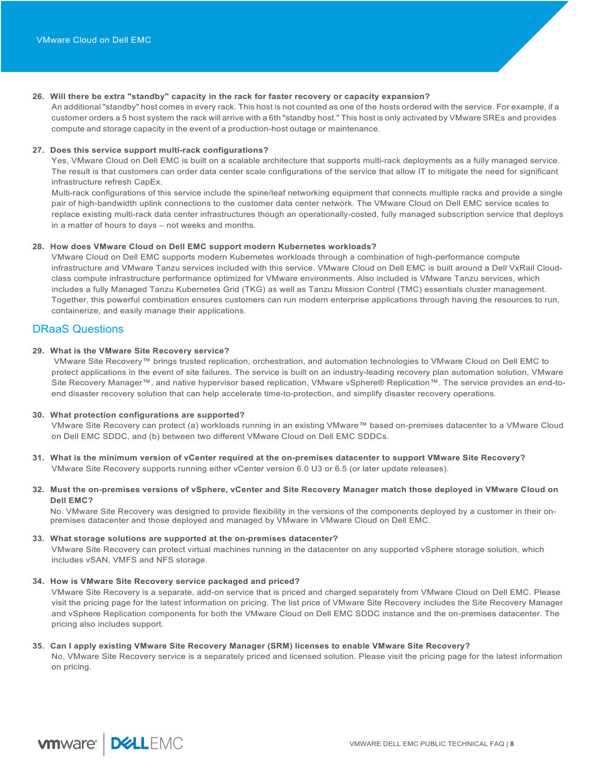# **26. Will there be extra "standby" capacity in the rack for faster recovery or capacity expansion?**

An additional "standby" host comes in every rack. This host is not counted as one of the hosts ordered with the service. For example, if a customer orders a 5 host system the rack will arrive with a 6th "standby host." This host is only activated by VMware SREs and provides compute and storage capacity in the event of a production-host outage or maintenance.

### **27. Does this service support multi-rack configurations?**

Yes, VMware Cloud on Dell EMC is built on a scalable architecture that supports multi-rack deployments as a fully managed service. The result is that customers can order data center scale configurations of the service that allow IT to mitigate the need for significant infrastructure refresh CapEx.

Multi-rack configurations of this service include the spine/leaf networking equipment that connects multiple racks and provide a single pair of high-bandwidth uplink connections to the customer data center network. The VMware Cloud on Dell EMC service scales to replace existing multi-rack data center infrastructures though an operationally-costed, fully managed subscription service that deploys in a matter of hours to days – not weeks and months.

### **28. How does VMware Cloud on Dell EMC support modern Kubernetes workloads?**

VMware Cloud on Dell EMC supports modern Kubernetes workloads through a combination of high-performance compute infrastructure and VMware Tanzu services included with this service. VMware Cloud on Dell EMC is built around a Dell VxRail Cloudclass compute infrastructure performance optimized for VMware environments. Also included is VMware Tanzu services, which includes a fully Managed Tanzu Kubernetes Grid (TKG) as well as Tanzu Mission Control (TMC) essentials cluster management. Together, this powerful combination ensures customers can run modern enterprise applications through having the resources to run, containerize, and easily manage their applications.

# DRaaS Questions

### **29. What is the VMware Site Recovery service?**

VMware Site Recovery™ brings trusted replication, orchestration, and automation technologies to VMware Cloud on Dell EMC to protect applications in the event of site failures. The service is built on an industry-leading recovery plan automation solution, VMware Site Recovery Manager™, and native hypervisor based replication, VMware vSphere® Replication™. The service provides an end-toend disaster recovery solution that can help accelerate time-to-protection, and simplify disaster recovery operations.

# **30. What protection configurations are supported?**

VMware Site Recovery can protect (a) workloads running in an existing VMware™ based on-premises datacenter to a VMware Cloud on Dell EMC SDDC, and (b) between two different VMware Cloud on Dell EMC SDDCs.

- **31. What is the minimum version of vCenter required at the on-premises datacenter to support VMware Site Recovery?**  VMware Site Recovery supports running either vCenter version 6.0 U3 or 6.5 (or later update releases).
- **32. Must the on-premises versions of vSphere, vCenter and Site Recovery Manager match those deployed in VMware Cloud on Dell EMC?**

No. VMware Site Recovery was designed to provide flexibility in the versions of the components deployed by a customer in their onpremises datacenter and those deployed and managed by VMware in VMware Cloud on Dell EMC.

### **33. What storage solutions are supported at the on-premises datacenter?**

VMware Site Recovery can protect virtual machines running in the datacenter on any supported vSphere storage solution, which includes vSAN, VMFS and NFS storage.

### **34. How is VMware Site Recovery service packaged and priced?**

VMware Site Recovery is a separate, add-on service that is priced and charged separately from VMware Cloud on Dell EMC. Please visit the pricing page for the latest information on pricing. The list price of VMware Site Recovery includes the Site Recovery Manager and vSphere Replication components for both the VMware Cloud on Dell EMC SDDC instance and the on-premises datacenter. The pricing also includes support.

### **35. Can I apply existing VMware Site Recovery Manager (SRM) licenses to enable VMware Site Recovery?**

No, VMware Site Recovery service is a separately priced and licensed solution. Please visit the pricing page for the latest information on pricing.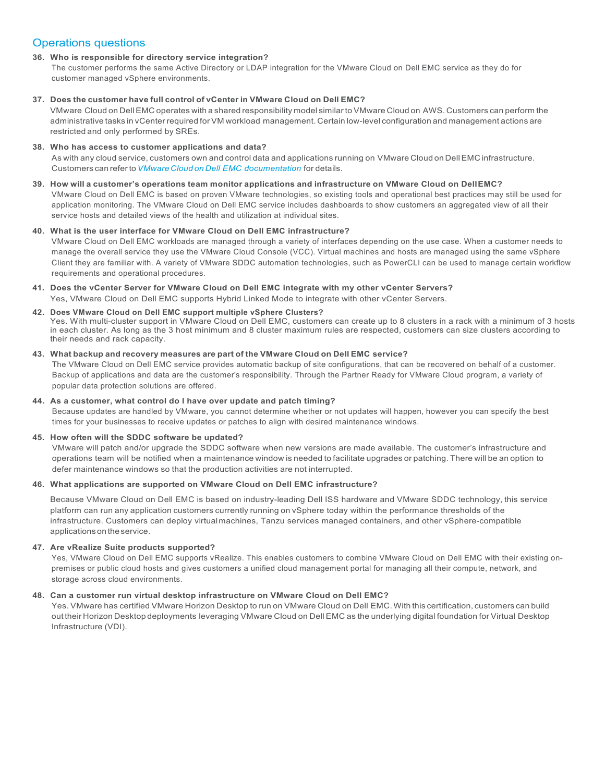# Operations questions

# **36. Who is responsible for directory service integration?**

The customer performs the same Active Directory or LDAP integration for the VMware Cloud on Dell EMC service as they do for customer managed vSphere environments.

# **37. Does the customer have full control of vCenter in VMware Cloud on Dell EMC?**

VMware Cloud on Dell EMC operates with a shared responsibility model similar to VMware Cloud on AWS. Customers can perform the administrative tasks in vCenter required for VM workload management. Certain low-level configuration and management actions are restricted and only performed by SREs.

# **38. Who has access to customer applications and data?**

As with any cloud service, customers own and control data and applications running on VMware Cloud on DellEMC infrastructure. Customers can referto*VMware Cloud on Dell EMC documentation* for details.

# **39. How will a customer's operations team monitor applications and infrastructure on VMware Cloud on DellEMC?**

VMware Cloud on Dell EMC is based on proven VMware technologies, so existing tools and operational best practices may still be used for application monitoring. The VMware Cloud on Dell EMC service includes dashboards to show customers an aggregated view of all their service hosts and detailed views of the health and utilization at individual sites.

# **40. What is the user interface for VMware Cloud on Dell EMC infrastructure?**

VMware Cloud on Dell EMC workloads are managed through a variety of interfaces depending on the use case. When a customer needs to manage the overall service they use the VMware Cloud Console (VCC). Virtual machines and hosts are managed using the same vSphere Client they are familiar with. A variety of VMware SDDC automation technologies, such as PowerCLI can be used to manage certain workflow requirements and operational procedures.

# **41. Does the vCenter Server for VMware Cloud on Dell EMC integrate with my other vCenter Servers?** Yes, VMware Cloud on Dell EMC supports Hybrid Linked Mode to integrate with other vCenter Servers.

**42. Does VMware Cloud on Dell EMC support multiple vSphere Clusters?** Yes. With multi-cluster support in VMware Cloud on Dell EMC, customers can create up to 8 clusters in a rack with a minimum of 3 hosts in each cluster. As long as the 3 host minimum and 8 cluster maximum rules are respected, customers can size clusters according to their needs and rack capacity.

# **43. What backup and recovery measures are part of the VMware Cloud on Dell EMC service?**

The VMware Cloud on Dell EMC service provides automatic backup of site configurations, that can be recovered on behalf of a customer. Backup of applications and data are the customer's responsibility. Through the Partner Ready for VMware Cloud program, a variety of popular data protection solutions are offered.

# **44. As a customer, what control do I have over update and patch timing?**

Because updates are handled by VMware, you cannot determine whether or not updates will happen, however you can specify the best times for your businesses to receive updates or patches to align with desired maintenance windows.

# **45. How often will the SDDC software be updated?**

VMware will patch and/or upgrade the SDDC software when new versions are made available. The customer's infrastructure and operations team will be notified when a maintenance window is needed to facilitate upgrades or patching. There will be an option to defer maintenance windows so that the production activities are not interrupted.

# **46. What applications are supported on VMware Cloud on Dell EMC infrastructure?**

Because VMware Cloud on Dell EMC is based on industry-leading Dell ISS hardware and VMware SDDC technology, this service platform can run any application customers currently running on vSphere today within the performance thresholds of the infrastructure. Customers can deploy virtualmachines, Tanzu services managed containers, and other vSphere-compatible applicationsontheservice.

# **47. Are vRealize Suite products supported?**

Yes, VMware Cloud on Dell EMC supports vRealize. This enables customers to combine VMware Cloud on Dell EMC with their existing onpremises or public cloud hosts and gives customers a unified cloud management portal for managing all their compute, network, and storage across cloud environments.

# **48. Can a customer run virtual desktop infrastructure on VMware Cloud on Dell EMC?**

Yes. VMware has certified VMware Horizon Desktop to run on VMware Cloud on Dell EMC. With this certification, customers can build out their Horizon Desktop deployments leveraging VMware Cloud on Dell EMC as the underlying digital foundation for Virtual Desktop Infrastructure (VDI).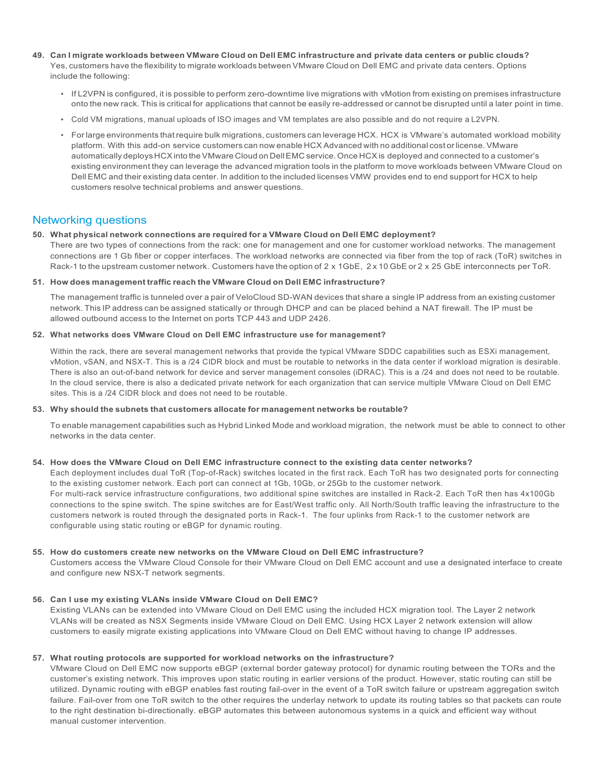- 49. Can I migrate workloads between VMware Cloud on Dell EMC infrastructure and private data centers or public clouds? Yes, customers have the flexibility to migrate workloads between VMware Cloud on Dell EMC and private data centers. Options include the following:
	- If L2VPN is configured, it is possible to perform zero-downtime live migrations with vMotion from existing on premises infrastructure onto the new rack. This is critical for applications that cannot be easily re-addressed or cannot be disrupted until a later point in time.
	- Cold VM migrations, manual uploads of ISO images and VM templates are also possible and do not require a L2VPN.
	- For large environments that require bulk migrations, customers can leverage HCX. HCX is VMware's automated workload mobility platform. With this add-on service customers can now enable HCX Advanced with no additional cost or license. VMware automatically deploys HCX into the VMware Cloud on Dell EMC service. Once HCX is deployed and connected to a customer's existing environment they can leverage the advanced migration tools in the platform to move workloads between VMware Cloud on Dell EMC and their existing data center. In addition to the included licenses VMW provides end to end support for HCX to help customers resolve technical problems and answer questions.

# Networking questions

### **50. What physical network connections are required for a VMware Cloud on Dell EMC deployment?**

There are two types of connections from the rack: one for management and one for customer workload networks. The management connections are 1 Gb fiber or copper interfaces. The workload networks are connected via fiber from the top of rack (ToR) switches in Rack-1 to the upstream customer network. Customers have the option of 2 x 1GbE, 2 x 10 GbE or 2 x 25 GbE interconnects per ToR.

### **51. How does management traffic reach the VMware Cloud on Dell EMC infrastructure?**

The management traffic is tunneled over a pair of VeloCloud SD-WAN devices that share a single IP address from an existing customer network. This IP address can be assigned statically or through DHCP and can be placed behind a NAT firewall. The IP must be allowed outbound access to the Internet on ports TCP 443 and UDP 2426.

### **52. What networks does VMware Cloud on Dell EMC infrastructure use for management?**

Within the rack, there are several management networks that provide the typical VMware SDDC capabilities such as ESXi management, vMotion, vSAN, and NSX-T. This is a /24 CIDR block and must be routable to networks in the data center if workload migration is desirable. There is also an out-of-band network for device and server management consoles (iDRAC). This is a /24 and does not need to be routable. In the cloud service, there is also a dedicated private network for each organization that can service multiple VMware Cloud on Dell EMC sites. This is a /24 CIDR block and does not need to be routable.

### **53. Why should the subnets that customers allocate for management networks be routable?**

To enable management capabilities such as Hybrid Linked Mode and workload migration, the network must be able to connect to other networks in the data center.

# **54. How does the VMware Cloud on Dell EMC infrastructure connect to the existing data center networks?**

Each deployment includes dual ToR (Top-of-Rack) switches located in the first rack. Each ToR has two designated ports for connecting to the existing customer network. Each port can connect at 1Gb, 10Gb, or 25Gb to the customer network. For multi-rack service infrastructure configurations, two additional spine switches are installed in Rack-2. Each ToR then has 4x100Gb connections to the spine switch. The spine switches are for East/West traffic only. All North/South traffic leaving the infrastructure to the customers network is routed through the designated ports in Rack-1. The four uplinks from Rack-1 to the customer network are configurable using static routing or eBGP for dynamic routing.

# **55. How do customers create new networks on the VMware Cloud on Dell EMC infrastructure?**

Customers access the VMware Cloud Console for their VMware Cloud on Dell EMC account and use a designated interface to create and configure new NSX-T network segments.

# **56. Can I use my existing VLANs inside VMware Cloud on Dell EMC?**

Existing VLANs can be extended into VMware Cloud on Dell EMC using the included HCX migration tool. The Layer 2 network VLANs will be created as NSX Segments inside VMware Cloud on Dell EMC. Using HCX Layer 2 network extension will allow customers to easily migrate existing applications into VMware Cloud on Dell EMC without having to change IP addresses.

# **57. What routing protocols are supported for workload networks on the infrastructure?**

VMware Cloud on Dell EMC now supports eBGP (external border gateway protocol) for dynamic routing between the TORs and the customer's existing network. This improves upon static routing in earlier versions of the product. However, static routing can still be utilized. Dynamic routing with eBGP enables fast routing fail-over in the event of a ToR switch failure or upstream aggregation switch failure. Fail-over from one ToR switch to the other requires the underlay network to update its routing tables so that packets can route to the right destination bi-directionally. eBGP automates this between autonomous systems in a quick and efficient way without manual customer intervention.